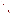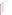## **ETV Advanced Monitoring Systems Center Vendor Contacts**

**Air**

#### **Ambient Ammonia Sensors**

[Aerodyne Research, Inc.](http://www.aerodyne.com/) EXIT Disclaimer

Technology: QC-TILDAS Contact: [Joann Shorter](mailto:shorter@aerodyne.com) 45 Manning Rd. Billerica, MA 01821 (978) 663-9500, x208 Fax: (978) 663-4918

#### **[Bruker Daltonics, Inc.](http://www.bdal.com/) EXIT Disclaimer**

Technology: OPAG 22 Open-Path Gas Analyzer Contact: [Richard Crowley](mailto:Richard.Crowley@bdal.com) 40 Manning Rd. Manning Park Billerica, MA 01821 (978) 663-3660 Fax: (978) 667-5993

#### [Mechatronics Instruments BV](http://www.mechatronics.nl/) EXIT Disclaimer

Technology: AiRRmonia Contact: [Rob Metselaar](mailto:rob@mechatronics.nl) P.O. Box 225 AE Hoorn 1620 Netherlands +31 229 29 11 29 Fax: +31 229 24 15 34

#### [Molecular Analytics](http://www.ionpro.com/) EXIT Disclaimer

Technology: IonPro-IMS Ammonia Analyzer Contact: [Kurt Webber](mailto:kwebber@pmeasuring.com) 14550 York Rd., Suite A Sparks, MD 21152-9307 (410) 472-7302 Fax: (410) 472-2156

#### [Omnisens S.A.](http://www.omnisens.ch/) EXIT Disclaimer

Technology: TGA310 Ammonia Analyzer Contact: [Andre Bals](mailto:andre.bals@omnisens.ch) Parc Scientifique d'Ecublens (PSE-C) Lausanne 1015 Switzerland +41 21 693 84 86 Fax: +41 1 274 2031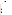[Pranalytica, Inc.](http://www.pranalytica.com/) EXIT Disclaimer Technology: Nitrolux 1000 Ammonia Analyzer Contact: [C. Kumar Patel](mailto:patel@pranalytica.com) 1101 Colorado Blvd. Santa Monica, CA 90401 (310) 458-0808 Fax: (310) 458-0171

## [Thermo Electron Corp.](http://www.thermo.com/) EXIT Disclaimer

Technology: Model 17C Ammonia Analyzer Contact: [Mike Nemergut](mailto:michael.nemergut@thermo.com) 81 Wyman St. Waltham, MA 02454 (866) 282-0430, x6850 Fax: (508) 520-0430

#### **Ambient Fine Particulate Monitors (Round 1)**

#### [Dekati Ltd.](http://www.dekati.com/) EXIT Disclaimer

Technology: Electrical Low Pressure Impactor Contact: [Ari Ukkonen](mailto:dekati@dekati.fi) Osuusmyllunkatu 13 FIN-33700 Tampere Finland +358 3 3578 100 Fax: +358 3 3578 140

### **[EcoChem Analytics](http://www.ecochem.biz/) EXIT Disclaimer**

Technology: PAS 2000 Particulate PAH Monitor Contact: [E.D. Chickliwala](mailto:ecochem@sprynet.com) 22605 Valerio West Hills, CA 91307 (818) 347-4369 Fax: (818) 347-5639

# [Met One Instruments, Inc.](http://www.metone.com/) EXIT Disclaimer

Technology: BAM 1020 Contact: [Tom Pottberg](mailto:info@metone.com) 1600 Washington Blvd. Grants Pass, OR 97526 (770) 947-3523 Fax: (541) 471-7116

#### **[Opsis AB](http://www.opsis.se/)** EXIT Disclaimer

Technology: SM 200 Automatic Particle Monitor Contact: [Carl Kamme](mailto:info@opsis.se) Box 244 Furulund SE-244 02 Sweden +46 46 72 25 00 Fax: +46 46 72 25 01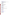### [Rupprecht & Patashnick Co., Inc.](http://www.rpco.com/) EXIT Disclaimer

Technologies: Series 1400a TEOM Particle Monitor Series 1400a TEOM Particle Monitor with Sample Equilibration System Series 5400 Monitor Series 8400N Particulate Nitrate Monitor Series 8400S Particulate Sulfate Monitor Contact: [Mike Meyer](mailto:info@rpco.com) 25 Corporate Circle Albany, NY 12203 (518) 452-0065 Fax: (518) 452-0067

Thermo Andersen (Andersen Instruments) Technologies: Aethalometer Particulate Carbon Monitor Continuous Ambient Mass Monitor FH 62 C14 Ambient Dust Monitor

Contact: [Jim Morton](mailto:Sales@anderseninstruments.com)

500 Technology Court Smyrna, GA 30082 (800) 241-6898 Fax: (770) 319-0336

#### [TSI,](http://www.tsi.com/) Inc. EXIT Disclaimer

Technology: Model 3320 Aerodynamic Particle Sizer (APS) Contact: [Tyler Beck](mailto:particle@tsi.com) 500 Cardigan Rd. Shoreview, MN 55126-3996 (651) 490-2726 Fax: (651) 490-3860

# **Ammonia Continuous Emission Monitors (Round 1)**

[Opsis AB](http://www.opsis.se/) EXIT Disclaimer

Technology: LD500 Contact: [Carl Kamme](mailto:info@opsis.se) Box 244 Furulund SE-244 02 Sweden +46 46 72 25 00 Fax: +46 46 72 25 01

### **[Siemens Laser Analytics AB](http://www.siemens.com/)** EXIT Disclaimer

Technology: LDS 3000 Contact: [Jan Grimbrandt](mailto:Jan_Grimbrandt@siemens.com) Box 5065 Goteborg SE-402 22 Sweden +46 0 31 776 86 00 Fax: +46 0 31 776 89 47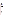# **Arsenic Test Kits (Round 1)**

# **[Envitop Oy](http://www.envitop.com/) EXIT Disclaimer**

Technology: As-Top Water Arsenic Test Kit Contact: [Jukka Palkko](mailto:etunimi.sukunimi@envitop.com) Kangaskontiontue 2 Fin-90240 Oulu Finland 358 8 375 046 Fax: 358 8 372 586

# [Industrial Test Systems, Inc.](http://www.sensafe.com/) EXIT Disclaimer

Technology: Quick Contact: [Howard Ray](mailto:its@cetlink.net) 1875 Langston St. Rock Hill, SC 29730 (803) 329-9712 Fax: (803) 329-9743

# Peters Engineering

Technology: AS 75 Contact: [Peter Kaspar](mailto:peters.engineering@styria.com) Steyrergasse 7130 Graz 8010 Austria +43 0 316 840792 Fax: +43 0 316 840792

## [TraceDetect](http://www.tracedetect.com/) EXIT Disclaimer

Technology: Nano-Band Explorer Contact: [Richard Brewer](mailto:richardb@tracedetect.com) 180 North Canal St. Seattle, WA 98103 (206) 523-2009 Fax: (206) 523-2042

# **Arsenic Test Kits (Round 2)**

## [Industrial Test Systems, Inc.](http://www.sensafe.com/)

Technologies: Quick II Quick Low Range Quick Low Range II Quick Ultra Low II Contact: [Howard Ray](mailto:its@cetlink.net) 1875 Langston St. Rock Hill, SC 29730 (803) 329-9712 Fax: (803) 329-9743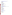[Monitoring Technologies International \(MTI\), Pty. Ltd.](http://www.monitoring-technologies.com/) EXIT Disclaimer Technology: PDV 6000 with VAS Version 2.1 Software Contact: [Information](mailto:cgreen@colingreen.idps.co.uk) 7 Collingwood St. Osborne Park Perth 6017 Western Australia +61 8 9204 2602 Fax: +61 8 9204 3600

## **Arsenic Test Kits (Round 3)**

[TraceDetect](http://www.tracedetect.com/) EXIT Disclaimer Technology: SafeGuard Trace Metals Analyzer Contact: [Richard Brewer](mailto:richardb@tracedetect.com) 180 North Canal St. Seattle, WA 98103 (206) 523-2009 Fax: (206) 523-2042

## **Dioxin Emission Monitoring Systems**

**[bm becker messtechnik gmbh](http://www.becker-messtechnik.de/) EXIT Disclaimer** Technology: Adsorption Method for Sampling Dioxins and Furans (AMESA) Contact: [Jürgen Reinmann](mailto:reinmann@becker-messtechnik.de) Kolner Strasse 6 D-65760 Eschborn NA Germany +49-6196-936-160 Fax: +49-6196-936-165

IDX Technologies, Ltd. Technology: RIMMPA-TOFMS Contact: [Tsunehisa Onishi](mailto:onishi@idx-tech.co.jp) NI Bld. 3-12-9 Kayaba-cho Nihonbashi, Chuo Tokyo 1030025 Japan +81-3-5651-1138

# [Monitoring Systems GmbH](http://www.dioxinmonitoring.com/) EXIT Disclaimer

Technology: DioxinMonitoringSystem Contact: [Thomas Steiner](mailto:steiner@dioxinmonitoring.com) Schloss 2 A-2542 Kottingbrunn NA Austria +43-664-2527239 Fax: +43-2252-70592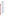**[SRI International](http://www.sri.com/psd/technologies/jetrempi_dio.html) EXIT Disclaimer** Technology: Jet-REMPI Contact: [Harold Oser](mailto:harold.oser@sri.com) Molecular Physics Laboratory 333 Ravenswood Ave. Menlo Park, CA 94025 (650) 859-3311 Fax: (650) 859-6196

# **Hydrogen Sulfide Monitors**

[Horiba Instruments, Inc.](http://www.hii.horiba.com/) EXIT Disclaimer

Technology: APSA-360 Contact: [Dick Bates](mailto:dick.bates@horiba.com) 17671 Armstrong Ave. Irvine, CA 92614 (949) 250-4811, x251 Fax: (949) 476-1293

## [Teledyne-API](http://www.teledyne-api.com/) EXIT Disclaimer

Technology: Model 101E Contact: [Bill Taylor](mailto:BillTaylorIII@earthlink.net) 3318 Highway 5, PMB 526 Douglasville, GA 30135 (770) 949-9409 Fax: (770) 949-9326

## **Immunoassay Test Kits for Atrazine**

### [Abraxis,](http://www.abraxiskits.com/) LLC EXIT Disclaimer

Technology: Atrazine ELISA Kit Contact: [Fernando Rubio](mailto:frubio@abraxiskits.com) 54 Steamwhistle Dr. Warminster, PA 18974 (215) 357-3911 Fax: (215) 357-5232

# **[Beacon Analytical Systems, Inc.](http://www.beaconkits.com/) EXIT Disclaimer**

Technology: Atrazine Tube Kit Contact: [Brian Skoczenski](mailto:brains@beaconkits.com) 383 Presumpscot St. Portland, ME 04103 (207) 761-2199 Fax: (207) 761-9238

## [Silver Lake Research Corp.](http://www.watersafetestkits.com/) EXIT Disclaimer

Technology: Watersafe Pesticide Test Contact: [Tom Round](mailto:tround@silverlakeresearch.com) 911 South Primrose Ave. (91016) P.O. Box 686 Monrovia, CA 91017 (626) 359-8441 Fax: (626) 359-6601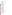[Strategic Diagnostics, Inc.](http://www.sdix.com/) (SDI) EXIT Disclaimer Technology: RaPID Assay Kit Contact: [Bob Ferguson](mailto:bferguson@sdix.com) 111 Pencader Dr. Newark, DE 19702 (302) 456-6789 Fax: (302) 456-6782

## **Mercury Continuous Emission Monitors (Phase 1)**

[Nippon Instruments Corp.](http://www.hg-nic.com/english/contact.html) EXIT Disclaimer

Technology: Model AM-2 Contact: [Koji Tanida](mailto:nic@rigaku.co.jp) 14-8 Akaoji, Takatsuki-shi Osaka 569-1146 Japan 81 726 94 5195 Fax: 81 726 94 0663

#### [Nippon Instruments Corp.](http://www.hg-nic.com/english/contact.html)

Technology: Model MS-1/DM-5 Contact: [Koji Tanida](mailto:nic@rigaku.co.jp) 14-8 Akaoji, Takatsuki-shi Osaka 569-1146 Japan 81 726 94 5195 Fax: 81 726 94 0663

## [Ohio Lumex Co.](http://www.ohiolumex.com/)

Technology: Lumex Mercury CEM Contact: [Joseph Siperstein](mailto:mail@ohiolumex.com) 5405 East Schaaf Rd. Cleveland, OH 44131 (216) 642-9700 Fax: (216) 642-9700

#### [P.S. Analytical](http://www.psanalytical.com/) EXIT Disclaimer

Technology: Sir Galahad II (SG-II) (Phase 1) Contact: [Peter Stockwell](mailto:pbs@psanalytical.com) Arthur House, Crayfields Industrial Estate Main Rd. Orpington, Kent BR5 3HP United Kingdom +44 0 1689 891211 Fax: +44 0 1689 896009

# **Mercury Continuous Emission Monitors (Phase 2)**

#### [Envimetrics](http://www.envimetrics.com/) EXIT Disclaimer

Technology: Argus-Hg 1000 Contact: [Philip Efthimion](mailto:Eeius@mindspring.com) P.O. Box 6 Pluckemin, NJ 07978 (609) 243-3212 Fax: (908) 781-1607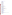### [Nippon Instruments Corp.](http://www.hg-nic.com/english/contact.html)

Technologies: DM-6/DM-6P MS-1/DM-5 Contact: [Koji Tanida](mailto:nic@rigaku.co.jp) 14-8 Akaoji, Takatsuki-shi Osaka 569-1146 Japan 81 726 94 5195 Fax: 81 726 94 0663

## **[Opsis AB](http://www.opsis.se/)** EXIT Disclaimer

Technology: Hg-200 Contact: [Carl Kamme](mailto:info@opsis.se) Box 244 Furulund SE-244 02 Sweden +46 46 72 25 00 Fax: +46 46 72 25 01

## [P.S. Analytical](http://www.psanalytical.com/) EXIT Disclaimer

Technology: Sir Galahad II (Phase 2) Contact: [Peter Stockwell](mailto:pbs@psanalytical.com) Arthur House, Crayfields Industrial Estate Main Rd. Orpington, Kent BR5 3HP United Kingdom +44 0 1689 891211 Fax: +44 0 1689 896009

# **Mercury Emission Monitors (Phase 3)**

## [Apex Instruments, Inc.](http://www.apexinst.com/) EXIT Disclaimer

Technology: Sorbent-Based Mercury Sampling System Contact: [Cody Cress](mailto:ccress@apexinst.com) 204 Technology Park Lane Fuquay-Varina, NC 27526 (919) 557-7300 Fax: (919) 557-7110

# [Environmental Supply Co.](http://www.environsupply.com/) EXIT Disclaimer

Technology: HG-324K System Contact: [David Hendricks](mailto:davidh@environsupply.com) 2142 East Geer St. Durham, NC 27704 (919) 956-9688 Fax: (919) 682-0333

## [Tekran Instruments Corp.](http://www.tekran.com/) EXIT Disclaimer

Technology: Series 3300 Mercury Continuous Emissions Monitoring System Contact: [Mark Calloway](mailto:mcalloway@tekran.com) 230 Tech Center Dr. Knoxville, TN 37912 (865) 688-0688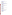[Thermo Electron Corp.](http://www.thermo.com/) EXIT Disclaimer Technology: Thermo Electron Mercury Freedom System Contact: [Mike Nemergut](mailto:michael.nemergut@thermo.com) 81 Wyman St. Waltham, MA 02454 (866) 282-0430, x6850 Fax: (508) 520-0430

## **Multi-Metal Continuous Emission Monitors**

[Cooper Environmental Services,](http://www.cooperenvironmental.com/) LLC (CES) EXIT Disclaimer

Technology: XCEM Multi-Metals Continuous Emission Monitor Contact: [Bruce Johnsen](mailto:JohnsenCES@aol.com) 10180 S.W. Nimbus Ave., Suite J6 Portland, OR 97223 (503) 624-5730 Fax: (503) 624-2120

## **Multi-Parameter Water Quality Probes (Round 1)**

[General Oceanics, Inc.](http://www.generaloceanics.com/) EXIT Disclaimer

Technology: Ocean Seven 316 Contact: [Regis S. Cook](mailto:sales@generaloceanics.com) 1295 N.W. 163rd St. Miami, FL 33169 (305) 621-2882 Fax: (305) 621-1710

[YSI, Inc.](http://www.ysi.com/) EXIT Disclaimer

Technology: 6600 Extended Deployment System (Round 1) Contact: [Gayle Rominger](mailto:environmental@ysi.com) 1700/1725 Brannum Lane P.O. Box 279 Yellow Springs, OH 45387 (800) 765-4974 Fax: (937) 767-1058

# **Multi-Parameter Water Quality Probes (Round 2)**

#### [AANDERAA Instruments, Inc.](http://www.aanderaa.com/) EXIT Disclaimer

Technology: RCM Mk II with Optode 3830 Contact: [Richard Butler](mailto:richard.butler@aanderaa.no) 234 Highland Ave. South Attleboro, MA 02702 (508) 761-8007 Fax: (508) 761-8229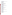[YSI, Inc.](http://www.ysi.com/) EXIT Disclaimer Technology: 6600 Extended Deployment System (Round 2) Contact: [Gayle Rominger](mailto:environmental@ysi.com) 1700/1725 Brannum Lane P.O. Box 279 Yellow Springs, OH 45387 (800) 765-4974 Fax: (937) 767-1058

## **NO/NOx Portable Analyzers (Round 1)**

**[ECOM America,](http://www.ecomusa.com/) Ltd.** EXIT Disclaimer

Technology: A-Plus Portable Emission Analyzer Contact: [Drew Wilson](mailto:ecom@ecomusa.com) 1895 Beaver Ridge Circle, Suite N Norcross, GA 30071 (770) 840-0306 Fax: (770) 840-0270

#### [Energy Efficiency Systems, Inc.](http://www.enerac.com/) EXIT Disclaimer

Technology: Model 3000E Portable Emission Analyzer Contact: [Robert Gasser](mailto:ees@enerac.com) 1300 Shames Dr. Westbury, NY 11590 (516) 997-2100 Fax: (516) 997-2129

#### [Horiba Instruments, Inc.](http://www.horiba.com/) EXIT Disclaimer

Technology: PG-250 Portable Gas Analyzer Contact: [Dave Vojtko](mailto:dave.vojtko@horiba.com) 1002 Harvest Court Moon Township, PA 15108-9015 (724) 457-2424 Fax: (724) 457-2344

### [Testo, Inc.](http://www.testo.us/online/abaxx-?$part=PORTAL.USA.HomeDesk&$event=go-home) EXIT Disclaimer

Technology: Model 350 Portable Emissions Analyzer Contact: [Craig McKim](mailto:info@testo.com) 35 Ironia Rd. Flanders, NJ 07836 (973) 252-1720 Fax: (973) 252-1729

#### **[TSI,](http://www.tsi.com/) Inc.** EXIT Disclaimer

Technology: Combucheck Model 8750 Single Gas Monitor Contact: [Tyler Beck](mailto:particle@tsi.com) 500 Cardigan Rd. Shoreview, MN 55126-3996 (651) 490-2726 Fax: (651) 490-3860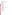# **Nitrogen Oxides (NO/NOx) Portable Analyzers (Round 2)**

## [Bacharach, Inc.](http://www.bacharach-inc.com/) EXIT Disclaimer

Technology: Model ECA 450 Portable Emissions Analyzer Contact: [David D](mailto:daved@bacharach-inc.com)'Amico 625 Alpha Dr. Pittsburgh, PA 15238 (412) 963-2000 Fax: (412) 963-2019

## [COSA Instrument Corp.](http://www.cosa-instrument.com/) EXIT Disclaimer

Technology: 7000 Vario Plus Portable Emissions Analyzer Contact: [Christopher Hales](mailto:cosa@cosaic.com) 55 Oak St. Norwood, NJ 07648 (201) 767-6600 Fax: (201) 767-6804

# **[Land Combustion](http://www.landinst.com/) EXIT Disclaimer**

Technology: LANCOM Series II Portable Emissions Analyzer Contact: [Daniel Menniti](mailto:daniel.menniti@landinstruments.net) 2525 B Pearl Buck Rd. Bristol, PA 19007 (215) 504-8000 Fax: (215) 504-1346

# **Nutrient Monitoring Technologies for Industrial Applications**

## [Shimadzu Scientific Instruments, Inc.](http://www.ssi.shimadzu.com/) EXIT Disclaimer

Technology: TNPC-4110(C) Contact: [Robert Clifford](mailto:RHClifford@SHIMADZU.com) 7102 Riverwood Dr. Columbia, MD 21046 (410) 381-1227 Fax: (410) 381-1222

# [ZAPS Technologies, Inc.](http://www.zapstechnologies.com/) EXIT Disclaimer

Technology: Multi-Parameter Analyzer (MP-1) Contact: [Joe Bussell](mailto:joe@zapstechnologies.com) 131 NW 4th St. P.O. Box 401 Corvallis, OR 97330 (541) 520-2663 Fax: (541) 753-3467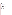## **On-Board Emissions Monitors**

# [Clean Air Technologies International, Inc. \(CATI\)](http://www.cleanairt.com/) EXIT Disclaimer

Technology: REMOTE (Real-World Emissions Monitoring On-Board Testing Equipment) Onboard Emissions Monitor Contact: [Dave Miller](mailto:info@cleanairt.com) 6653 Main St. P.O. Box 314 (14209) Buffalo, NY 14221 (800) 728-9575 Fax: (716) 634-0952

# **Optical Open-Path Monitors (Round 1)**

[AIL Systems, Inc.](http://www.ail.com/) EXIT Disclaimer

Technology: Model RAM 2000 FTIR Open-Path Monitor Contact: [William Walker](mailto:r.kagann@worldnet.att.net) 455 Commack Rd. Deer Park, NY 11729-4591 (516) 595-5200 Fax: (516) 595-5582

# **[Boreal Laser, Inc.](http://www.boreal-laser.com/) EXIT Disclaimer**

Technology: GasFinder 2.0 TDL Open-Path Monitor Contact: [Jim Bauer](mailto:information@boreal-laser.com) #13 51127 RR 255 Spruce Grove, Alberta T7Y 1A8 Canada (780) 987-4382 Fax: (780) 987-2418

## **[OPSIS](http://www.opsis.com/)** EXIT Disclaimer

Technology: Model AR-500 Ultraviolet Open-Path Monitor Contact: [Paul Stenberg](mailto:info@opsis.com) 1165 Linda Vista Dr., Suite 112 San Marcos, CA 92069 (706) 752-3005 Fax: (706) 752-3007

# [Unisearch Associates, Inc.](http://www.unisearch-associates.com/) EXIT Disclaimer

Technology: LasIR TDL Open-Path Monitor Contact: [Gervase MacKay](mailto:gmackay@unisearch-associates.com) 96 Bradwick Dr. Concord, Ontario L4K 1K8 Canada (905) 669-3547 Fax: (905) 669-8652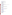# **Optical Open-Path Monitors (Round 2)**

[Spectrex, Inc.](http://www.spectrex-inc.com/) EXIT Disclaimer

Technologies: SafEye 227 Infrared Open-Path Monitor SafEye 420 Ultraviolet Open-Path Monitor Contact: [Eric Zinn](mailto:spectrex@spectrex-inc.com) 218 Little Falls Rd. Cedar Grove, NJ 07009 (973) 239-8398 Fax: (973) 239-7614

## **Personal Cascade Impactor Samplers**

[SKC, Inc.](http://www.skcinc.com/) EXIT Disclaimer Technology: Sioutas.pdfal Cascade Impactor Sampler with Leland Legacy Pump Contact: [Deborah Dietrich](mailto:skcdebbie@aol.com) 863 Valley View Rd. Eighty Four, PA 15330 (724) 941-9701 Fax: (724) 941-1369

# **Portable Multi-Gas Emissions Analyzers (Round 1)**

[Testo, Inc.](http://www.testo.us/online/abaxx-?$part=PORTAL.USA.HomeDesk&$event=go-home) EXIT Disclaimer

Technology: Model 350 Portable Multigas Emission Analyzer Contact: [Craig McKim](mailto:info@testo.com) 35 Ironia Rd. Flanders, NJ 07836 (973) 252-1720 Fax: (973) 252-1729

# **Portable Water Analyzers/Test Kits (Nitrate/Nitrite)**

[Nitrate Elimination Co., Inc. \(NECi\)](http://www.nitrate.com/)

Technology: F-NTK Contact: [Ellen Campbell](mailto:ellenr@nitrate.com) 334 Hecla St. Lake Linden, MI 49945 (906) 296-1000 Fax: (906) 296-8003

# **Turbidimeters (Round 1)**

## [Endress+Hauser](http://www.us.endress.com/) EXIT Disclaimer

Technology: CUS 31-W On-Line Turbidimeter Contact: [Hermann Straub](mailto:Hermann.Straub@conducta.endress.com) Postfach 1001 54 Gerlingen D-70826 Germany 49 7156 20917 Fax: 49 7156 20922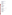[Monitek Technologies, Inc.](http://www.monitek.com/) EXIT Disclaimer Technology: TST-SC On-Line Turbidimeter Contact: [Chris Williams](mailto:sales@monitek.com) 1495 Zephyr Ave. Hayward, CA 94544 (925) 243-0052 Fax: (510) 471-8647

#### [Sigrist-Photometer AG](http://www.photometer.com/en/) EXIT Disclaimer

Technology: WTM500 On-Line Turbidimeter Contact: [TJ Medland](mailto:sales@photometer.com) 39 Brownsville Court P.O. Box 26 Schomberg, Ontario Canada (905) 939-0555 Fax: (905) 939-0550

### **Turbidimeters (Round 2)**

#### **[ABB Instrumentation](http://www.abb.com/) EXIT Disclaimer**

Technology: Series 4670 Contact: [Beth Ann Schlitt](mailto:beth.schlitt@us.abb.com) 200 West 22nd St. Lombard, IL 60148 (630) 317-6356 Fax: (630) 317-6397

#### **Water**

#### **Enzymatic Test Kits**

#### [Abraxis](http://www.abraxiskits.com/) EXIT Disclaimer

Technology: Organophosphate/Carbamate Screen Kit Contact: [Fernando Rubio](mailto:frubio@abraxiskits.com) 54 Steamwhistle Dr. Warminster, PA 18974 (215) 357-3911 Fax: (215) 357-5232

## **[AquaSurvey, Inc.](http://www.aquasurvey.com/) EXIT Disclaimer**

Technology: Neuro-IQ Tox Test Kit (TM) Contact: [Ken Hayes](mailto:hayes@aquasurvey.com) 469 Point Breeze Rd. P.O. Box 72 Flemington, NJ 08822 (908) 788-8700 Fax: (908) 788-9165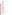[Protein-Biosensor](http://www.protein-biosensor.com/) EXIT Disclaimer Technology: OP-Stick Sensor Contact: [Tristan Ruysschaert](mailto:tristan@protein-biosensor.com) IPBS-CNRS, 205 rte de Narbonne 31077 Toulouse cedex France 33(0) 561 175 837 Fax: 33(0) 561 175 994

### **[Severn Trent Services](http://www.severntrentservices.com/)** EXIT Disclaimer

Technology: Eclox-Pesticide Strips Contact: [James Blundi](mailto:jblundi@severntrentservices.com) 3000 Advance Lane Colmar, PA 18915 (215) 997-4025 Fax: (215) 997-4062

## **Immunoassay Test Kits for Biotoxins (Round 1)**

[ADVNT Biotechnologies](http://www.baddbox.com/) EXIT Disclaimer

Technology: BADD Test Strips Contact: [Dan Faubion](mailto:danf@osborn-scientific.com) P.O. Box 870 1920 West Commerce Dr. Lakeside, AZ 85929 (928) 368-2804 Fax: (928) 368-2808

#### [Response Biomedical Corp.](http://www.responsebio.com/) EXIT Disclaimer

Technology: RAMP Test Cartridges Contact: [Joanne Stephenson](mailto:jstephenson@responsebio.com) 8081 Lougheed Highway Burnaby, British Columbia V5A 1W9 Canada (604) 681-4101 Fax: (604) 412-9830

#### [Tetracore, Inc.](http://www.tetracore.com/) EXIT Disclaimer

Technology: BioThreat Alert Test Strips Technology: Enzyme-Linked Immunosorbent Assay (ELISA) Contact: [Tom O](mailto:tobrien@tetracore.com)'Brien 11 Firstfield Rd., Suite C Gaithersburg, MD 20878 (301) 258-7553 Fax: (301) 258-9740

## **Immunoassay Test Kits for Biotoxins (Round 2)**

#### [BioVeris Corp.](http://www.bioveris.com/) EXIT Disclaimer

Technology: BioVerify Botulinum Toxin A and Ricin Test Kits and M-SERIES M1M Analyzer Contact: [Jill White](mailto:jwhite@BioVeris.com) 16020 Industrial Dr. Gaithersburg, MD 20877 (301) 869-9800, x1054 Fax: (301) 230-0158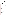[PharmaLeads](http://www.pharmaleads.com/) EXIT Disclaimer Technology: EzyBot A and EzyBot B Test Kits Contact: [Thierry Bourbie](mailto:thierry.bourbie@pharmaleads.com) 70 rue Cortambert 75016 Paris France +33 6 07 47 95 21

## **[QTL Biosystems, LLC](http://www.qtlbio.com/) EXIT Disclaimer**

Technology: QTL Biosensor Contact: [Tom Buscher](mailto:TBuscher@qtlbio.com) 2778 Agua Fria St. Santa Fe, NM 87507 (505) 660-3810 Fax: (505) 424-8679

## **Mobile Mass Spectrometers**

[Constellation Technology](http://www.contech.com/) Corp.

Technology: CT-1128 Portable Gas Chromatograph-Mass Spectrometer (GC-MS) Contact: [John Hintenach](mailto:hintenach@contech.com) 7887 Bryan Dairy Rd., Suite 100 Largo, FL 33777 (727) 547-0600, x6151 Fax: (727) 545-6150

# **Multi-Parameter Water Monitors for Distribution Systems**

### [Analytical Technology, Inc. \(ATI\)](http://www.analyticaltechnology.com/) EXIT Disclaimer

Technology: Q45WQ Series Contact: [John Becker](mailto:jbecker@analyticaltechnology.com) 6 Iron Bridge Dr. Collegeville, PA 19426 (610) 917-0991 Fax: (610) 917-0992

## [Clarion Sensing Systems, Inc.](http://www.clarionsensing.com/) EXIT Disclaimer

Technology: Sentinal 500 Series Contact: [Martin Harmless](mailto:clarionsystems@earthlink.net3) 3901 W. 30th St. Indianapolis, IN 46222 (317) 295-1433 Fax: (317) 295-1436

#### **[Hach Company](http://www.hach.com/) EXIT Disclaimer**

Technology: Water Distribution Monitoring Panel and Event Monitor Trigger System Contact: [Dan Kroll](mailto:dkroll@hach.com) 5600 Lindbergh Dr. P.O. Box 389 (80538) Loveland, CO 80538-8998 (970) 669-3050 Fax: (970) 669-2932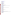[Man-Tech Associates, Inc.](http://www.mantech-inc.com/) EXIT Disclaimer Technology: TitraSip SA Contact: [Robert Menegotto](mailto:rmenegotto@mantech-inc.com) 600 Main St. Tonawanda, NY 14150-3723 (519) 763-2145 Fax: (519) 763-9995

[Rosemount Analytical](http://www.emersonprocess.com/raihome/) EXIT Disclaimer

Technology: Model WQS Contact: [Richard Baril](mailto:Richard.Baril@EmersonProcess.com) 2400 Barranca Parkway Irvine, CA 92606 (949) 757-8500 Fax: (949) 863-9159

## **Portable Cyanide Analyzers (Round 1)**

[CHEMetrics, Inc.](http://www.chemetrics.com/) EXIT Disclaimer Technology: VVR V-1000 Multi-Analyte Photometer with the V-3803 Cyanide Module Contact: [Joanne Carpenter](mailto:technical@chemetrics.com) 4295 Catlett Rd. Calverton, VA 20138 (800) 356-3072 Fax: (540) 788-4856

[LaMotte Co.](http://www.lamotte.com/) EXIT Disclaimer Technology: 1919 SMART 2 Colorimeter with the 3660-SC Reagent System Contact: [Jim Eagan](mailto:tech@lamotte.com) 802 Washington Ave. P.O. Box 329 Chestertown, MD 21620 (410) 778-3100 Fax: (410) 778-6394

#### [Orbeco-Hellige](http://www.orbeco.com/) EXIT Disclaimer

Technology: Mini-Analyst Model 942-032 Contact: John Esposito 185 Marine St. Farmingdale, NY 11735 (631) 293-4110 Fax: (631) 293-8258

#### [Thermo Orion](http://www.thermo.com/) **EXIT Disclaimer**

Technology: AQUAfast IV AQ4000 with AQ4006 Cyanide Reagents Technology: Model 9606 Cyanide Electrode with Model 290 A+ Ion Selective Electrode Meter Contact: [Steve West](mailto:xiaowen.wen@thermo.com) 500 Cummings Center Beverly, MA 01915 (561) 688-8700 Fax: (978) 232-6038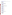#### **[WTW Measurement Systems](http://www.wtw.com/us/32.htm)** EXIT Disclaimer

Technology: Cyanide Electrode CN 501 with Reference Electrode R503D, and Ion Pocket Meter 340i Contact: [John Murray](mailto:info@wtw-inc.com) 3170 Metro Parkway Fort Myers, FL 33916 (239) 337-7122 Fax: (239) 337-2045

# **Portable Cyanide Analyzers (Round 2)**

[Industrial Test Systems, Inc.](http://www.sensafe.com/)

Technology: Cyanide ReagentStrip Test Kit Contact: [Howard Ray](mailto:its@cetlink.com) 1875 Langston St. Rock Hill, SC 29730 (803) 329-9712 Fax: (803) 329-9743

# **Rapid Polymerase Chain Reaction Technologies**

## **[Applied Biosystems](http://www.appliedbiosystems.com/)** EXIT Disclaimer

Technology: TaqMan E. coli 0157:H7 Detection System Contact: [Jonas Ruiz](mailto:ruizje@appliedbiosystems.com) 850 Lincoln Centre Dr. Foster City, CA 94404 (650) 638-6995 Fax: (650) 638-6393

# [Idaho Technology, Inc.](http://www.idahotech.com/) EXIT Disclaimer

Technology: R.A.P.I.D. System Contact: [Matt Scullion](mailto:matts@idahotech.com) 390 Wakara Way Salt Lake City, UT 84108 (801) 736-6354 Fax: (801) 588-0507

## [Invitrogen Corp.](http://www.invitrogen.com/content.cfm?pageid=1) EXIT Disclaimer

Technology: PathAlert Detection Kit Contact: [Willem Folkerts](mailto:willem.folkerts@invitrogen.com) 7335 Executive Way Frederick, MD 21704 (240) 379-4209

# **Rapid Toxicity Testing Systems (Round 1)**

# **[AquaSurvey, Inc.](http://www.aquasurvey.com/) EXIT Disclaimer**

Technology: IQ Toxicity Test Contact: [Ken Hayes](mailto:hayes@aquasurvey.com) 469 Point Breeze Rd. P.O. Box 72 Flemington, NJ 08822 (908) 788-8700 Fax: (908) 788-9165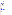# [CheckLight, Ltd.](http://www.checklight.co.il/) EXIT Disclaimer

Technology: ToxScreen-II Contact: [Nirit Ulitzur](mailto:info@checklight.co.il) Kolner Strasse 6 P.O. Box 72 Qiryat Tiv'on 36000 Israel (972) 4 9930530 Fax: (972) 4 9533176

#### [Hach Co.](http://www.hach.com/) EXIT Disclaimer

Technology: ToxTrak Contact: [Dan Kroll](mailto:dkroll@hach.com) 5600 Lindbergh Dr. P.O. Box 389 (80538) Loveland, CO 80538-8998 (970) 669-3050 Fax: (970) 669-2932

### **[Hidex Oy](http://www.hidex.com/) EXIT Disclaimer**

Technology: BioTox Contact: [Risto Juvonen](mailto:risto.juvonen@hidex.com) Mustionkatu 2 Turku FIN-20750 Finland +358 2 275 0557 Fax: +358 2 241 0075

## [InterLab Supply, Ltd.](http://www.interlabsupply.com/) EXIT Disclaimer

Technology: POLYTOX Contact: [Peter Perez](mailto:pete@interlabsupply.com) 9200 New Trails Dr. The Woodlands, TX 77381 (888) 876-2844 Fax: (281) 298-9411

# **[Severn Trent Services](http://www.severntrentservices.com/)** EXIT Disclaimer

Technology: Eclox Contact: [Frank Kaiser](mailto:fkaiser@severntrentservices.com) 3000 Advance Lane Colmar, PA 18915 (215) 997-4000 Fax: (215) 997-4062

## [Strategic Diagnostics, Inc. \(SDI\)](http://www.sdix.com/) EXIT Disclaimer

Technologies: Deltatox Microtox Contact: [Jason Ambrosius](mailto:jambrosius@sdix.com) 111 Pencader Dr. Newark, DE 19702 (302) 456-6789 Fax: (302) 456-6782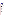# **Rapid Toxicity Testing Systems (Round 2)**

## [Abraxis](http://www.abraxiskits.com/) EXIT Disclaimer

Technology: AbraTox Kit Contact: [Fernando Rubio](mailto:frubio@abraxiskits.com) 54 Steamwhistle Dr. Warminster, PA 18974 (215) 357-3911 Fax: (215) 357-5232

### [AquaSurvey, Inc.](http://www.aquasurvey.com/) EXIT Disclaimer

Technology: Chem-IQ Tox Contact: [Ken Hayes](mailto:hayes@aquasurvey.com) 469 Point Breeze Rd. P.O. Box 72 Flemington, NJ 08822 (908) 788-8700 Fax: (908) 788-9165

### [CheckLight, Ltd.](http://www.checklight.co.il/) EXIT Disclaimer

Technology: ToxScreen-II Contact: [Nirit Ulitzur](mailto:info@checklight.co.il) Kolner Strasse 6 P.O. Box 72 Qiryat Tiv'on 36000 Israel (972) 4 9930530 Fax: (972) 4 9533176

## [Environmental Bio-Detection Products, Inc. \(EBPI\)](http://www.ebpi-kits.com/)

Technology: Toxi-Chromotest Contact: [Don Lush](mailto:lush@ca.inter.net) 4 Abacus Rd. Brampton, Ontario L6T5B7 Canada (800) 361-2325, x228 Fax: (905) 794-2338

## Lab Bell, Inc. EXIT Disclaimer

Technologies: LuminoTox PECs LuminoTox SAPS Contact: [Francois Bellemare](mailto:fbellemare@lab-bell.com) 2263 Avenue du College Shawinigan, Quebec G9N 6V8 Canada (819) 539-8508, x107 Fax: (819) 539-8880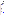[Strategic Diagnostics, Inc. \(SDI\)](http://www.sdix.com/) EXIT Disclaimer Technology: RAPIDTOXKIT Contact: [Jason Ambrosius](mailto:jambrosius@sdix.com) 111 Pencader Dr. Newark, DE 19702 (302) 456-6789 Fax: (302) 456-6782

## **Soils, Surfaces, and Site Characterization**

### **Decision Support Software**

[C Tech Development Corp.](http://www.ctech.com/) EXIT Disclaimer

Technology: Environmental Visualization System Pro (EVS-PRO) Contact: [Reed Copsey](mailto:reed@ctech.com) 16091 Santa Barbara Lane Huntington Beach, CA 92649 (714) 840-7444 Fax: (714) 840-9255

### [DecisionFX, Inc.](http://www.decisionfx.com/) EXIT Disclaimer

Technologies: GroundwaterFX SamplingFX Contact: [Bob Knowlton](mailto:info@decisionfx.com) 310 Country Lane Bosque Farms, NM 87068 (505) 869-0057 Fax: (505) 869-9097

Environmental Software Technology: SitePro Version 3.0 Contact: Charlie Perrell 17011 Beach Blvd., Suite 900 Huntington Beach, CA 92647 (714) 379-7000 Fax: (714) 379-7001

#### [Environmental Systems Research Institute \(ESRI\)](http://www.esri.com/)

Technology: ArcView GIS Version 3.1 Using ArcView Spatial Analyst and ArcView 3D Analyst **Extensions** Contact: Jennifer Harar 8620 Westwood Center Dr. Vienna, VA 22182 (703) 506-9515, x8055 Fax: (703) 506-9514

## [University of Tennessee \(UT\) Research Foundation](http://utrf.tennessee.edu/) EXIT Disclaimer

Technology: Spatial Analysis and Decision Assistance (SADA) Contact: [Robert Stewart](mailto:u74@ornl.gov) 1060 Commerce Park Dr. Oak Ridge, TN 37830 (423) 241-5741 Fax: (423) 241-4283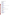# **Field Explosives Detection Technologies**

Barringer Instruments, Inc. Technology: GC-IONSCAN Contact: [John Avolio](mailto:javolio@bii.barringer.com) 30 Technology Dr. Warren, NJ 07059 (908) 222-9100, x3003 Fax: (908) 222-1557

## [Research International, Inc.](http://www.resrchintl.com/) EXIT Disclaimer

Technology: FAST 2000 Contact: [Elric Saaski](mailto:info@resrchintl.com) 17161 Beaton Rd. Monroe, WA 98272-1034 (360) 805-4930 Fax: (360) 863-0439

## [SRI Instruments](http://www.srigc.com/) EXIT Disclaimer

Technology: Model 8610C Gas Chromatograph/Thermionic Ionization Detection Contact: [Hugh Goldsmith](mailto:hagoldsmith@earthlink.com) 20720 Earl St. Torrance, CA 90503 (310) 214-5092 Fax: (310) 214-5097

# [Texas Instruments, Inc.](http://www.ti.com/) EXIT Disclaimer

Technology: Spreeta Sensor Contact: [Jerry Elkind](mailto:elkind@ti.com) 13536 North Central Expressway, MS 945 Dallas, TX 75243 (972) 995-1214 Fax: (972) 995-8787

# **Field Polychlorinated Biphenyl (PCB) Detection Technologies**

## [Dexsil Corp.](http://www.dexsil.com/) EXIT Disclaimer

Technologies: L2000 PCB/Chloride Analyzer L2000DX Analyzer Contact: [Ted Lynn](mailto:info@dexsil.com) One Hamden Park Dr. Hamden, CT 06517 (203) 288-3509 Fax: (203) 248-6523

## [Electronic Sensor Technology](http://www.estcal.com/) EXIT Disclaimer

Technology: 4100 Vapor Detector Contact: [Edward Staples](mailto:staples@estcal.com) 1077 Business Center Circle Newbury Park, CA 91320 (805) 480-1994 Fax: (805) 480-1984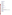[EnviroLogix,](http://www.envirologix.com/) Inc. EXIT Disclaimer Technology: PCB in Soil Tube Assay Contact: [Bruce Ferguson](mailto:elix1@aol.com) 500 Riverside Industrial Highway Portland, ME 04103 (207) 797-0300

#### [Hach Co.](http://www.hach.com/) EXIT Disclaimer

Fax: (207) 797-7533

Technology: PCB Immunoassay Kit Contact: [James Welch](mailto:jwelch@hach.com) P.O. Box 389 5600 Lindbergh Dr. Loveland, CO 80539 (970) 669-3050, x2629 Fax: (970) 669-2932

## [Hybrizyme Corp.](http://www.hybrizyme.com/) EXIT Disclaimer

Technology: DELFIA PCB Assay Contact: [Randy Allen](mailto:rallen@hybrizime.com) 2801 Blue Ridge Rd., Suite G-70 Raleigh, NC 27607 (919) 783-9595 Fax: (443) 494-0005

#### [Strategic Diagnostics, Inc. \(SDI\)](http://www.sdix.com/) EXIT Disclaimer

Technologies: D TECH PCB Test Kit EnviroGard PCB Test Kit RaPID Assay System for PCB Analysis Contact: [Jim Donovan](mailto:sales@sdix.com) 111 Pencader Dr. Newark, DE 19702 (302) 456-6789 Fax: (302) 456-6782

### **Field Portable Gas Chromatographs/Mass Spectrometers for Measurement of Volatile Organics in Soil, Water, and Soil Gas**

[Bruker Daltonics, Inc.](http://www.bdal.de/) EXIT Disclaimer (formerly Bruker-Franzen Analytical Systems, Inc.)

Technology: EM640 Contact: [Brian Abraham](mailto:pk@bruker.com) 44 Manning Rd. Manning Park Billerica, MA 01821 (978) 663-3660, x1464 Fax: (978) 667-5993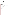[Bruker Daltonics, Inc.](http://www.bdal.de/) EXIT Disclaimer (formerly Viking Instruments Corp.) Technology: SpectraTrak 672 Contact: [Brian Abraham](mailto:pk@bruker.com) 44 Manning Rd. Manning Park Billerica, MA 01821 (978) 663-3660, x1464 Fax: (978) 667-5993

## **Field Portable X-Ray Fluorescence Analyzers for Measurement of Metals in Soil**

**[HNU Systems, Inc.](http://www.hnu.com/) EXIT Disclaimer** 

Technology: SEFA-P Analyzer Contact: Jennifer Driscoll 160 Charlemont St. Newton Highlands, MA 02161-9987 (617) 964-6690 Fax: (617) 558-0056

## [KeyMaster Technologies](http://www.keymastertech.com/) EXIT Disclaimer (formerly Scitec Corp.)

Technology: MAP Spectrum Analyzer Contact: Theresa Howe 415 North Quay Kennewick, WA 99336 (509) 783-9850 Fax: (509) 735-9696

Metorex, Inc. Technologies: X-MET 920-MP X-MET 920-P and X-MET 940 Princeton Crossroads Corporate Center 250 Phillips Blvd. Ewing, NJ 08618 (609) 406-9000 Fax: (609) 530-9055

# **[NITON,](http://www.niton.com/) LLC** EXIT Disclaimer

Technology: XL Spectrum Analyzer Contact: [Jonathan Shein](mailto:jjshein@niton.com) 900 Middlesex Turnpike Building 8 Billerica, MA 01821 (978) 670-7460 Fax: (978) 670-7430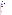[Thermo Electron Corp.](http://www.spectrace.com/) EXIT Disclaimer (formerly TN Spectrace)

Technologies: TN 9000 TN Pb Analyzer 2555 North Interstate Highway 35 P.O. Box 800 Round Rock, TX 78680-0800 (512) 388-9100 Fax: (512) 388-9200

# **Ground Water Sampling Devices**

**[Burge Environmental](http://www.burgenv.com/) EXIT Disclaimer** 

Technology: Multiprobe 100 Contact: [Scott Burge](mailto:burgenv@globalcrossing.net) 6100 South Maple Ave., Suite 114 Tempe, AZ 85283 (480) 968-5141 Fax: (480) 345-7633

GeoLog, Inc.

Technology: Micro-Flo Model 57400 Bladder Pump and Model 5001 Pump Cycle Controller Contact: [Jim Mirand](mailto:geoloinc@aol.com) 209 Starr St.

P.O. Box 229 Medina, NY 14103 (716) 798-5597 Fax: (716) 798-0147

[Geoprobe Systems, Inc.](http://www.geoprobe.com/) EXIT Disclaimer

Technologies: GW1400 Series Pneumatic Bladder Pump Model MB470 Mechanical Bladder Pump Contact: [Wes McCall](mailto:mccallw@geoprobesystems.com) 601 North Broadway Salina, KS 67401 (785) 825-1842 Fax: (785) 825-2097

[QED Environmental Systems](http://www.cee.com/) EXIT Disclaimer (formerly Clean Environment Equipment)

Technology: SamplEase Bladder Pump Model SP15T36 Contact: [Michael Breslin](mailto:mbreslin@cee.com) 1133 Seventh St. Oakland, CA 94607 (510) 891-0880 Fax: (510) 444-6789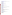#### [QED Environmental Systems, Inc.](http://www.qedenv.com/) EXIT Disclaimer

Technology: Well Wizard Dedicated Sampling System Models T1200M and T1250 Contact: [David Kaminski](mailto:davidqed@aol.com) P.O. Box 30873 Walnut Creek, CA 94598 (800) 366-7610 Fax: (313) 995-1170

## [SIBAK Industries Limited, Inc.](http://www.sibak.com/) EXIT Disclaimer

Technology: Kabis Sampler Models I and II Contact: [Tom Kabis](mailto:tkabis@jps.net) 147 Valpreda Rd. San Marcos, CA 92075 (760) 744-6413 Fax: (760) 744-6418

### [W.L. Gore & Associates, Inc.](http://www.gore.com/) EXIT Disclaimer

Technology: GORE-SORBER Water Quality Monitoring Contact: [Andre Brown](mailto:abrown@wlgore.com) 184 Ripley St. San Francisco, CA 94110 (415) 648-0438 Fax: (415) 648-0398

## **Laser Induced Fluorescence Sensors for In Situ Detection of Petroleum Hydrocarbons**

[Fugro Geosciences, Inc.](http://www.geo.fugro.com/) EXIT Disclaimer

Technology: Rapid Optical Screening Tool (ROSTTM) Contact: [Andy Taer](mailto:ataer@furgo.com) 6105 Rookin Houston, TX 77074 (713) 346-4000 Fax: (713) 346-4002

Navy, Naval Command, Control, and Ocean Surveillance Center Technology: Site Characterization and Analysis Penetrometer System (SCAPS) Contact: [Tom Hampton](mailto:thampton@noxc.mil) 53475 Strothe Rd., Mail Code 3604 San Diego, CA 92152-5000 (619) 553-1172 Fax: (619) 553-1177

## **Lead in Dust Detection Technologies**

[KeyMaster Technologies](http://www.keymastertech.com/) EXIT Disclaimer (formerly Scitec Corp.)

Technology: Pb-Test XRF Instrument Contact: Theresa Howe 415 North Quay Kennewick, WA 99336 (509) 783-9850 Fax: (509) 735-9696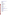## [Monitoring Technologies International \(MTI\)](http://www.monitoring-technologies.com/) EXIT Disclaimer Technology: PDV 5000 Trace Element Analyzer Contact: [Colin Green](mailto:cgreen@colingreen.idps.co.uk) 29 Chinthurst Park Shalford Surrey United Kingdom 441-483-564183 Fax: 61-8-9204-2602

# **[NITON,](http://www.niton.com/) LLC** EXIT Disclaimer

Technologies: XL-300 Series XRF Instrument XL-700 Series XRF Instrument XLt 700 Series XRF Spectrum Analyzer Contact: [Jonathan Shein](mailto:jjshein@niton.com) 900 Middlesex Turnpike Building 8 Billerica, MA 01821 (978) 670-7460 Fax: (978) 670-7430

## [Palintest USA](http://www.palintestusa.com/) EXIT Disclaimer

Technology: Scanning Analyzer SA-5000 System Contact: [Dave Miller](mailto:info@palintestusa.com) 21 Kenton Lands Rd. Erlanger, KY 41018 (859) 341-7423 Fax: (859) 341-2106

# **Sediment Sampling Technologies**

# AMS, Inc. (Art'[s Manufacturing & Supply, Inc.\)](http://www.ams-samplers.com/) EXIT Disclaimer

Technology: Split Core Sampler for Submerged Sediments Contact: [Brian Anderson](mailto:briana@bankpds.com) 105 Harrison St. American Falls, ID 83211 (208) 226-2017 Fax: (208) 226-7280

# [Aquatic Research Instruments](http://www.aquaticresearch.com/) EXIT Disclaimer

Technology: Aquatic Research Instruments Russian Peat Borer Contact: [Will Young](mailto:hydrobio@aol.com) P.O. Box 98 Hope, ID 83836 (208) 264-5266 Fax: (208) 264-5263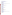# **Soil/Soil Gas Sampling Technologies**

## [AMS, Inc. \(Art's Manufacturing & Supply, Inc.\)](http://www.ams-samplers.com/) EXIT Disclaimer

Technology: AMS Dual Tube Liner Sampler Contact: [Brian Anderson](mailto:briana@bankpds.com) 105 Harrison St. American Falls, ID 83211 (208) 226-2017 Fax: (208) 226-7280

### [Beacon Environmental Services, Inc.](http://www.emflux.com/default.htm) EXIT Disclaimer (technology formerly provided by

Quadrel Services, Inc.) Technology: EMFLUX Soil Gas Investigation System Contact: [Information](mailto:info@emflux.com) 19 Newport Dr., Suite 102 Forest Hill, MD 21050 (410) 838-8780 Fax: (410) 838-8740

#### [Clements Associates, Inc.](http://www.jmcsoil.com/)

Technology: JMC Environmentalist's Subsoil Probe Contact: [Jim Clements](mailto:jmcsoil@netins.net) 1992 Hunter Ave. Newton, IA 50208 (641) 792-8285 Fax: (641) 792-1361

#### [Geoprobe Systems, Inc.](http://www.geoprobe.com/) EXIT Disclaimer

Technology: Large-Bore Soil Sampler Contact: [Wes McCall](mailto:mccallw@geoprobesystems.com) 601 North Broadway Salina, KS 67401 (785) 825-1842 Fax: (785) 825-2097

SimulProbe Technologies, Inc. Technology: SimulProbe Core Barrel Sampler Contact: [Noah Heller](mailto:hellernoah@aol.com) 354 Bel Marin Keys Blvd., Suite F Novato, CA 94949 (800) 553-1755 Fax: (415) 883-8788

#### [W.L. Gore & Associates, Inc.](http://www.gore.com/) EXIT Disclaimer

Technology: GORE-SORBER Screening Survey Passive Soil Gas Sampling System Contact: [Mark Wrigley](mailto:mwrigley@wlgore.com) 100 Chesapeake Blvd. Elkton, MD 21921 (410) 996-3406 Fax: (410) 996-3325